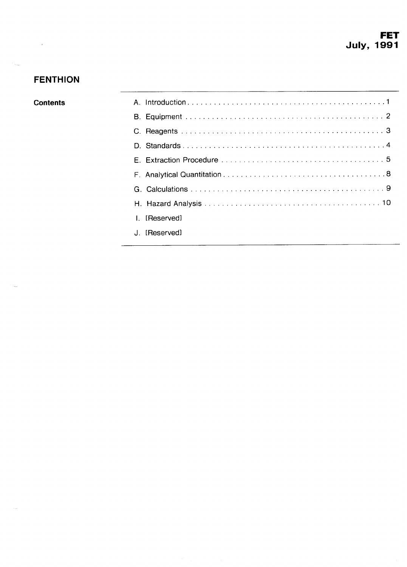# **FENTHION**

 $\sim$   $\lambda$ 

| ontents: |               |
|----------|---------------|
|          |               |
|          |               |
|          |               |
|          |               |
|          |               |
|          |               |
|          |               |
|          | L [Reserved]  |
|          | J. [Reserved] |
|          |               |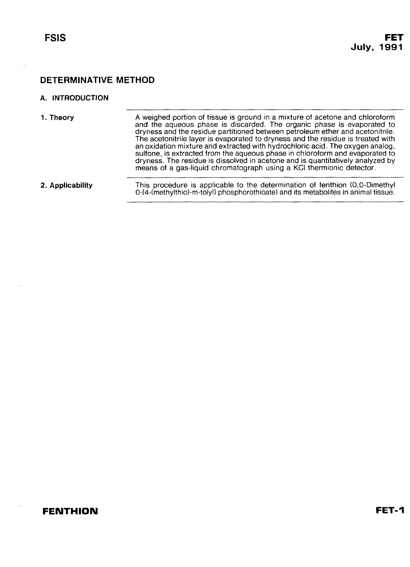#### <span id="page-1-0"></span>**A. INTRODUCTION**

- **1. Theory A** weighed portion of tissue is ground in a mixture of acetone and chloroform and the aqueous phase is discarded. The organic phase is evaporated to dryness and the residue partitioned between petroleum ether and acetonitrile. The acetonitrile layer is evaporated to dryness and the residue is treated with an oxidation mixture and extracted with hydrochloric acid. The oxygen analog, sulfone, is extracted from the aqueous phase in chloroform and evaporated to dryness. The residue is dissolved in acetone and is quantitatively analyzed by means of a gas-liquid chromatograph using a KC1 thermionic detector.
- **2. Applicability** This procedure is applicable to the determination of fenthion (0,O-Dimethyl 0-[4-(methylthiol-m-tolyll phosphorothioatel and its metabolites in animal tissue.

# **FENTHION**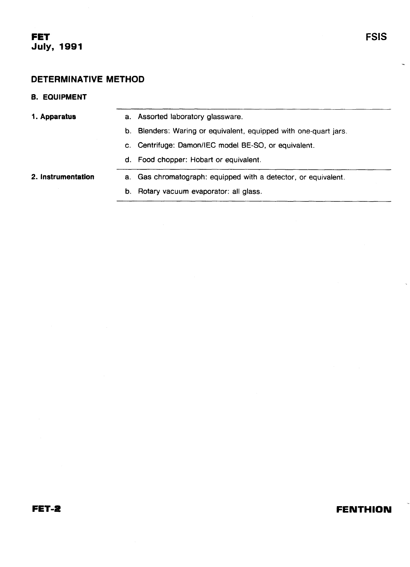#### <span id="page-2-0"></span>**0. EQUIPMENT**

| 1. Apparatus       | a. Assorted laboratory glassware.                                |
|--------------------|------------------------------------------------------------------|
|                    | b. Blenders: Waring or equivalent, equipped with one-quart jars. |
|                    | c. Centrifuge: Damon/IEC model BE-SO, or equivalent.             |
|                    | d. Food chopper: Hobart or equivalent.                           |
| 2. Instrumentation | a. Gas chromatograph: equipped with a detector, or equivalent.   |
|                    | Rotary vacuum evaporator: all glass.<br>b.                       |

**FENTHION**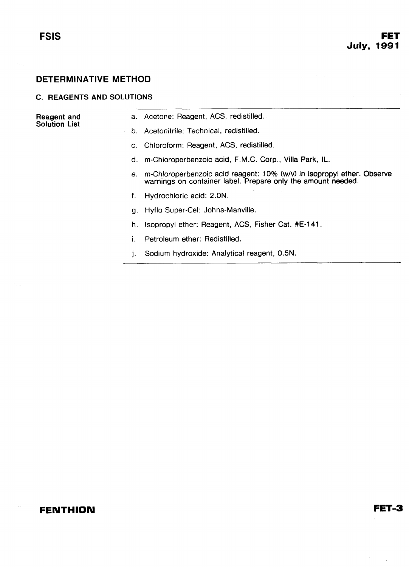#### <span id="page-3-0"></span>**C.** REAGENTS AND SOLUTIONS

#### Reagent and Solution List

- Acetone: Reagent, ACS, redistilled.
- Acetonitrile: Technical, redistilled.
- Chloroform: Reagent, ACS, redistilled.
- m-Chloroperbenzoic acid, F.M.C. Corp., Villa Park, IL.
- m-Chloroperbenzoic acid reagent: 10% **(w/v)** in isopropyl ether. Observe warnings on container label. Prepare only the amount needed.
- $f_{\perp}$ Hydrochloric acid: 2.ON.
- g. Hyflo Super-Cel: Johns-Manville.
- h. Isopropyl ether: Reagent, ACS, Fisher Cat. #E-141.
- ì. Petroleum ether: Redistilled.
- j. Sodium hydroxide: Analytical reagent, 0.5N.

#### **FENTHION**

#### FET-3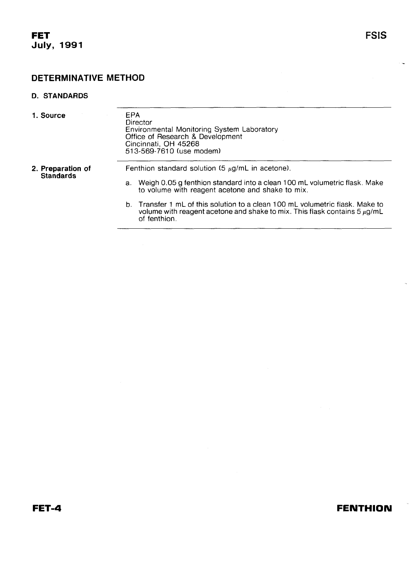#### <span id="page-4-0"></span>**D. STANDARDS**

| 1. Source                             | EPA<br>Director<br>Environmental Monitoring System Laboratory<br>Office of Research & Development<br>Cincinnati, OH 45268<br>513-569-7610 (use modem)                           |  |  |  |  |
|---------------------------------------|---------------------------------------------------------------------------------------------------------------------------------------------------------------------------------|--|--|--|--|
| 2. Preparation of<br><b>Standards</b> | Fenthion standard solution $(5 \mu g/mL)$ in acetone).                                                                                                                          |  |  |  |  |
|                                       | a. Weigh 0.05 g fenthion standard into a clean 100 mL volumetric flask. Make<br>to volume with reagent acetone and shake to mix.                                                |  |  |  |  |
|                                       | b. Transfer 1 mL of this solution to a clean 100 mL volumetric flask. Make to<br>volume with reagent acetone and shake to mix. This flask contains 5 $\mu$ g/mL<br>of fenthion. |  |  |  |  |
|                                       |                                                                                                                                                                                 |  |  |  |  |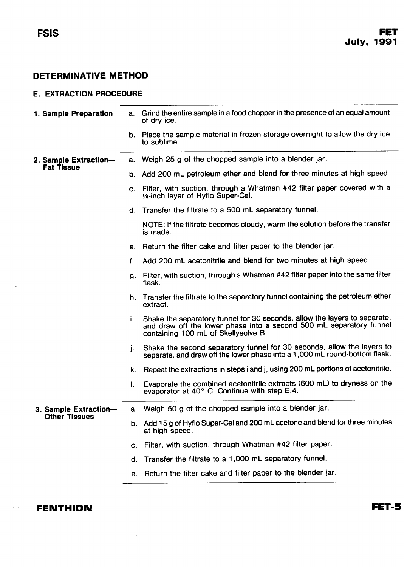<span id="page-5-0"></span>

|  |  |  | <b>E. EXTRACTION PROCEDURE</b> |
|--|--|--|--------------------------------|
|--|--|--|--------------------------------|

| 1. Sample Preparation |    | a. Grind the entire sample in a food chopper in the presence of an equal amount<br>of dry ice.                                                                                          |  |  |  |
|-----------------------|----|-----------------------------------------------------------------------------------------------------------------------------------------------------------------------------------------|--|--|--|
|                       | b. | Place the sample material in frozen storage overnight to allow the dry ice<br>to sublime.                                                                                               |  |  |  |
| 2. Sample Extraction- | а. | Weigh 25 g of the chopped sample into a blender jar.                                                                                                                                    |  |  |  |
| <b>Fat Tissue</b>     | b. | Add 200 mL petroleum ether and blend for three minutes at high speed.                                                                                                                   |  |  |  |
|                       |    | c. Filter, with suction, through a Whatman #42 filter paper covered with a<br>1/8-inch layer of Hyflo Super-Cel.                                                                        |  |  |  |
|                       |    | d. Transfer the filtrate to a 500 mL separatory funnel.                                                                                                                                 |  |  |  |
|                       |    | NOTE: If the filtrate becomes cloudy, warm the solution before the transfer<br>is made.                                                                                                 |  |  |  |
|                       | е. | Return the filter cake and filter paper to the blender jar.                                                                                                                             |  |  |  |
|                       | f. | Add 200 mL acetonitrile and blend for two minutes at high speed.                                                                                                                        |  |  |  |
|                       |    | g. Filter, with suction, through a Whatman #42 filter paper into the same filter<br>flask.                                                                                              |  |  |  |
|                       |    | h. Transfer the filtrate to the separatory funnel containing the petroleum ether<br>extract.                                                                                            |  |  |  |
|                       | i. | Shake the separatory funnel for 30 seconds, allow the layers to separate,<br>and draw off the lower phase into a second 500 mL separatory funnel<br>containing 100 mL of Skellysolve B. |  |  |  |
|                       | j. | Shake the second separatory funnel for 30 seconds, allow the layers to<br>separate, and draw off the lower phase into a 1,000 mL round-bottom flask.                                    |  |  |  |
|                       |    | k. Repeat the extractions in steps i and j, using 200 mL portions of acetonitrile.                                                                                                      |  |  |  |
|                       | I. | Evaporate the combined acetonitrile extracts (600 mL) to dryness on the<br>evaporator at 40° C. Continue with step E.4.                                                                 |  |  |  |
| 3. Sample Extraction- |    | a. Weigh 50 g of the chopped sample into a blender jar.                                                                                                                                 |  |  |  |
| <b>Other Tissues</b>  |    | b. Add 15 g of Hyflo Super-Cel and 200 mL acetone and blend for three minutes<br>at high speed.                                                                                         |  |  |  |
|                       |    | c. Filter, with suction, through Whatman #42 filter paper.                                                                                                                              |  |  |  |
|                       |    | d. Transfer the filtrate to a 1,000 mL separatory funnel.                                                                                                                               |  |  |  |
|                       |    | e. Return the filter cake and filter paper to the blender jar.                                                                                                                          |  |  |  |
|                       |    |                                                                                                                                                                                         |  |  |  |

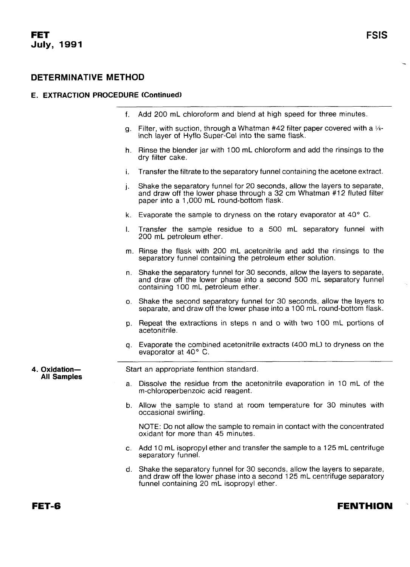#### **E. EXTRACTION PROCEDURE (Continued)**

- Add 200 mL chloroform and blend at high speed for three minutes. f.
- Filter, with suction, through a Whatman #42 filter paper covered with a  $\frac{1}{3}$ a. inch layer of Hyflo Super-Cel into the same flask.
- h. Rinse the blender jar with 100 mL chloroform and add the rinsings to the dry filter cake.
- Transfer the filtrate to the separatory funnel containing the acetone extract. i.
- Shake the separatory funnel for 20 seconds, allow the layers to separate, j. and draw off the lower phase through a 32 cm Whatman #12 fluted filter paper into a 1,000 mL round-bottom flask.
- k. Evaporate the sample to dryness on the rotary evaporator at  $40^{\circ}$  C.
- $\mathbf{L}$ Transfer the sample residue to a 500 mL separatory funnel with 200 mL petroleum ether.
- m. Rinse the flask with 200 mL acetonitrile and add the rinsings to the separatory funnel containing the petroleum ether solution.
- Shake the separatory funnel for 30 seconds, allow the layers to separate, and draw off the lower phase into a second 500 mL separatory funnel containing 100 mL petroleum ether.
- Shake the second separatory funnel for 30 seconds, allow the layers to separate, and draw off the lower phase into a 100 mL round-bottom flask.
- Repeat the extractions in steps n and o with two 100 mL portions of acetonitrile.
- Evaporate the combined acetonitrile extracts (400 mL) to dryness on the evaporator at 40' C.

Start an appropriate fenthion standard.

- Dissolve the residue from the acetonitrile evaporation in 10 mL of the m-chloroperbenzoic acid reagent.
- Allow the sample to stand at room temperature for 30 minutes with occasional swirling.

NOTE: Do not allow the sample to remain in contact with the concentrated oxidant for more than 45 minutes.

- Add 10 mL isopropyl ether and transfer the sample to a 125 mL centrifuge separatory funnel.
- Shake the separatory funnel for 30 seconds, allow the layers to separate, and draw off the lower phase into a second 125 mL centrifuge separatory funnel containing 20 mL isopropyl ether.

## **FENTHION**

**4. Oxidation-All Samples**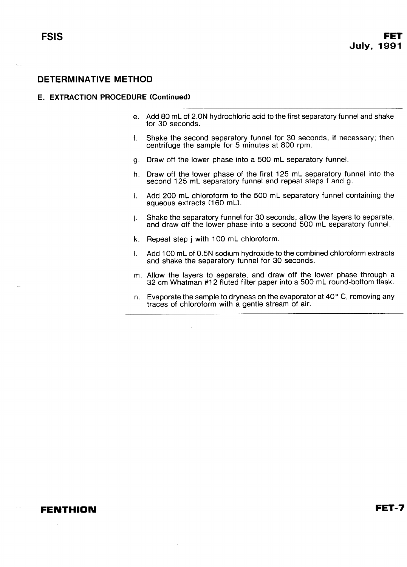#### **E. EXTRACTION PROCEDURE (Continued)**

- Add 80 mL of 2.ON hydrochloric acid to the first separatory funnel and shake е. for 30 seconds.
- f. Shake the second separatory funnel for 30 seconds, if necessary; then centrifuge the sample for 5 minutes at 800 rpm.
- g. Draw off the lower phase into a 500 mL separatory funnel.
- h. Draw off the lower phase of the first 125 mL separatory funnel into the second 125 mL separatory funnel and repeat steps f and g.
- i. Add 200 mL chloroform to the 500 mL separatory funnel containing the aqueous extracts (160 mL).
- Shake the separatory funnel for 30 seconds, allow the layers to separate, j. and draw off the lower phase into a second 500 mL separatory funnel.
- k. Repeat step j with 100 mL chloroform.
- Add 100 mL of 0.5N sodium hydroxide to the combined chloroform extracts ŧ. and shake the separatory funnel for 30 seconds.
- Allow the layers to separate, and draw off the lower phase through a 32 cm Whatman #12 fluted filter paper into a 500 mL round-bottom flask.
- n. Evaporate the sample to dryness on the evaporator at  $40^{\circ}$  C, removing any traces of chloroform with a gentle stream of air.

### **FENTHION**

FET-7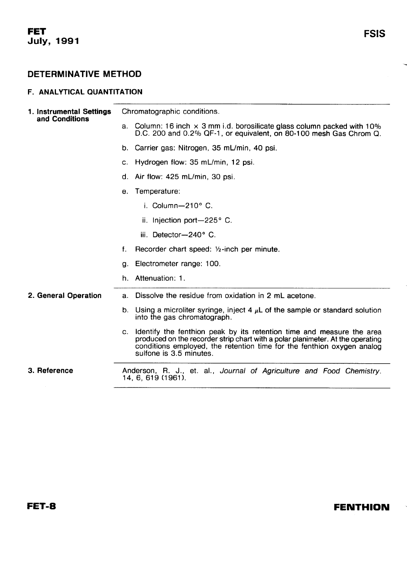#### <span id="page-8-0"></span>**F. ANALYTICAL QUANTITATION**

| 1. Instrumental Settings<br>and Conditions                                                                 | Chromatographic conditions.                                                                                                                                                                                                                                        |  |  |  |
|------------------------------------------------------------------------------------------------------------|--------------------------------------------------------------------------------------------------------------------------------------------------------------------------------------------------------------------------------------------------------------------|--|--|--|
|                                                                                                            | Column: 16 inch $\times$ 3 mm i.d. borosilicate glass column packed with 10%<br>a.<br>D.C. 200 and 0.2% QF-1, or equivalent, on 80-100 mesh Gas Chrom Q.                                                                                                           |  |  |  |
|                                                                                                            | b. Carrier gas: Nitrogen, 35 mL/min, 40 psi.                                                                                                                                                                                                                       |  |  |  |
|                                                                                                            | c. Hydrogen flow: 35 mL/min, 12 psi.                                                                                                                                                                                                                               |  |  |  |
|                                                                                                            | d. Air flow: $425$ mL/min, 30 psi.                                                                                                                                                                                                                                 |  |  |  |
|                                                                                                            | Temperature:<br>е.                                                                                                                                                                                                                                                 |  |  |  |
|                                                                                                            | i. Column $-210^\circ$ C.                                                                                                                                                                                                                                          |  |  |  |
|                                                                                                            | ii. Injection port-225° C.                                                                                                                                                                                                                                         |  |  |  |
|                                                                                                            | iii. Detector-240° C.                                                                                                                                                                                                                                              |  |  |  |
|                                                                                                            | Recorder chart speed: 1/2-inch per minute.<br>f.                                                                                                                                                                                                                   |  |  |  |
|                                                                                                            | Electrometer range: 100.<br>а.                                                                                                                                                                                                                                     |  |  |  |
|                                                                                                            | Attenuation: 1.<br>h.                                                                                                                                                                                                                                              |  |  |  |
| 2. General Operation                                                                                       | Dissolve the residue from oxidation in 2 mL acetone.<br>a.                                                                                                                                                                                                         |  |  |  |
|                                                                                                            | b. Using a microliter syringe, inject 4 $\mu$ L of the sample or standard solution<br>into the gas chromatograph.                                                                                                                                                  |  |  |  |
|                                                                                                            | Identify the fenthion peak by its retention time and measure the area<br>C.<br>produced on the recorder strip chart with a polar planimeter. At the operating<br>conditions employed, the retention time for the fenthion oxygen analog<br>sulfone is 3.5 minutes. |  |  |  |
| 3. Reference<br>Anderson, R. J., et. al., Journal of Agriculture and Food Chemistry.<br>14, 6, 619 (1961). |                                                                                                                                                                                                                                                                    |  |  |  |
|                                                                                                            |                                                                                                                                                                                                                                                                    |  |  |  |

# **FENTHION**

 $\ddot{\phantom{0}}$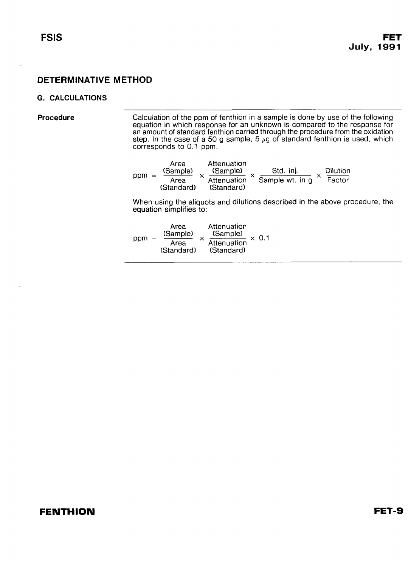#### <span id="page-9-0"></span>**G. CALCULATIONS**

**Procedure** 

Calculation of the ppm of fenthion in a sample is done by use of the following equation in which response for an unknown is compared to the response for an amount of standard fenthion carried through the procedure from the oxidation step. In the case of a 50 g sample, 5  $\mu$ g of standard fenthion is used, which corresponds to 0.1 ppm.

|         | Area<br>(Sample)   | Attenuation<br>(Sample)   | Std. ini.       | Dilution |  |
|---------|--------------------|---------------------------|-----------------|----------|--|
| $ppm =$ | Area<br>(Standard) | Attenuation<br>(Standard) | Sample wt. in g | Factor   |  |

When using the aliquots and dilutions described in the above procedure, the equation simplifies to:

| ppm | Area<br>(Sample)   | Attenuation<br>(Sample)   | $\times$ 0.1 |
|-----|--------------------|---------------------------|--------------|
|     | Area<br>(Standard) | Attenuation<br>(Standard) |              |

## **FENTHION**

FET-9